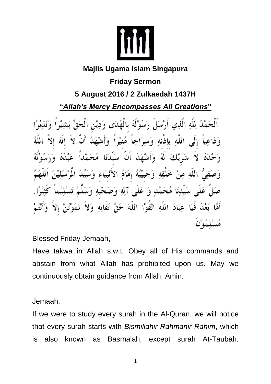

## **Majlis Ugama Islam Singapura**

## **Friday Sermon 5 August 2016 / 2 Zulkaedah 1437H**

**"***Allah's Mercy Encompasses All Creations***"**

مَمْدُ لِلَّهِ الَّذِي أَرْسَلَ رَسُوْلَهُ بِالْهُدَى وَدِيْنِ الْحَقِّ وَدَاعِياً إِلَى اللَّه بِإِذْنِه وَسِرَاجاً مُنِيْراً وَأَشْهَلُهَ وَحْدَهُ ۚ لاَ ۖ نِتَبَا لِّكَ ۚ لَهُ ۚ وَأَنشَهَلُ ۖ أَنَّ ۖ سَيِّدَنَا ۖ عَيْدُهُ وَصَفِيٌّ اللَّهِ مِنْ خَلْقِهِ وَحَبَيْبُهُ إِمَامُ الأَنْبِيَاء وَسَيِّدُ عَلَى سَيِّدِنَا مُحَمَّدٍ وَ عَلَى آلِهِ وَصَحْبِهِ وَ أَمَّا بَعْدُ فَيَا عِبَادَ اللَّهِ اتَّقَوْا اللَّهَ حَقَّ تقاته

Blessed Friday Jemaah,

Have takwa in Allah s.w.t. Obey all of His commands and abstain from what Allah has prohibited upon us. May we continuously obtain guidance from Allah. Amin.

Jemaah,

If we were to study every surah in the Al-Quran, we will notice that every surah starts with *Bismillahir Rahmanir Rahim*, which is also known as Basmalah, except surah At-Taubah.

1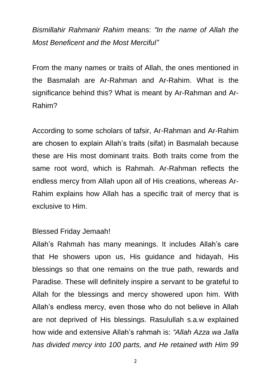*Bismillahir Rahmanir Rahim* means: *"In the name of Allah the Most Beneficent and the Most Merciful"*

From the many names or traits of Allah, the ones mentioned in the Basmalah are Ar-Rahman and Ar-Rahim. What is the significance behind this? What is meant by Ar-Rahman and Ar-Rahim?

According to some scholars of tafsir, Ar-Rahman and Ar-Rahim are chosen to explain Allah's traits (sifat) in Basmalah because these are His most dominant traits. Both traits come from the same root word, which is Rahmah. Ar-Rahman reflects the endless mercy from Allah upon all of His creations, whereas Ar-Rahim explains how Allah has a specific trait of mercy that is exclusive to Him.

## Blessed Friday Jemaah!

Allah's Rahmah has many meanings. It includes Allah's care that He showers upon us, His guidance and hidayah, His blessings so that one remains on the true path, rewards and Paradise. These will definitely inspire a servant to be grateful to Allah for the blessings and mercy showered upon him. With Allah's endless mercy, even those who do not believe in Allah are not deprived of His blessings. Rasulullah s.a.w explained how wide and extensive Allah's rahmah is: *"Allah Azza wa Jalla has divided mercy into 100 parts, and He retained with Him 99* 

2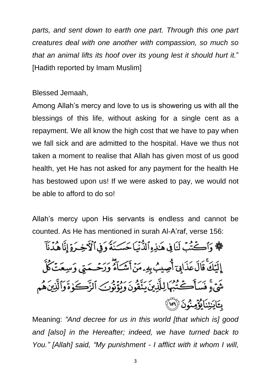*parts, and sent down to earth one part. Through this one part creatures deal with one another with compassion, so much so that an animal lifts its hoof over its young lest it should hurt it.*" [Hadith reported by Imam Muslim]

Blessed Jemaah,

Among Allah's mercy and love to us is showering us with all the blessings of this life, without asking for a single cent as a repayment. We all know the high cost that we have to pay when we fall sick and are admitted to the hospital. Have we thus not taken a moment to realise that Allah has given most of us good health, yet He has not asked for any payment for the health He has bestowed upon us! If we were asked to pay, we would not be able to afford to do so!

Allah's mercy upon His servants is endless and cannot be counted. As He has mentioned in surah Al-A'raf, verse 156:

﴾ وَأَكْتُبَ لَنَا فِي هَٰذِهِ ٱلدُّنِّيَا حَسَـنَةً وَفِي ٱلْأَخِـرَةِ إِنَّا هُدُنَآ إِلَيْكَ قَالَ عَذَابِيّ أُصِيبُ بِهِ ءمَنْ أَمْسَاءُ وَرَحْـحَمتِي وَسِعَتْ كُلُّ شَيْءٍ فَسَأَكَتُبُهَا لِلَّذِينَ يَنَّقُونَ وَيُؤْتُونَ ٱلزَّكَوٰةَ وَٱلَّذِينَ هُم بِتَايَنِيْنَايُؤَمِنُونَ (٢٥)

Meaning: *"And decree for us in this world [that which is] good and [also] in the Hereafter; indeed, we have turned back to You." [Allah] said, "My punishment - I afflict with it whom I will,*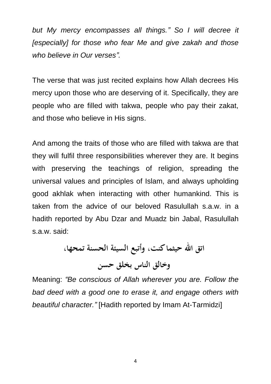*but My mercy encompasses all things." So I will decree it [especially] for those who fear Me and give zakah and those who believe in Our verses".*

The verse that was just recited explains how Allah decrees His mercy upon those who are deserving of it. Specifically, they are people who are filled with takwa, people who pay their zakat, and those who believe in His signs.

And among the traits of those who are filled with takwa are that they will fulfil three responsibilities wherever they are. It begins with preserving the teachings of religion, spreading the universal values and principles of Islam, and always upholding good akhlak when interacting with other humankind. This is taken from the advice of our beloved Rasulullah s.a.w. in a hadith reported by Abu Dzar and Muadz bin Jabal, Rasulullah s.a.w. said:

اتق الله حيثما كنت، وأتبع السيئة الحسنة تمحها، وخالق الناس بخلق حسن

Meaning: *"Be conscious of Allah wherever you are. Follow the bad deed with a good one to erase it, and engage others with beautiful character."* [Hadith reported by Imam At-Tarmidzi]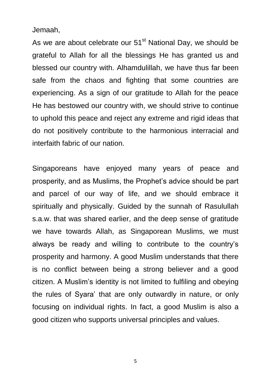Jemaah,

As we are about celebrate our  $51<sup>st</sup>$  National Day, we should be grateful to Allah for all the blessings He has granted us and blessed our country with. Alhamdulillah, we have thus far been safe from the chaos and fighting that some countries are experiencing. As a sign of our gratitude to Allah for the peace He has bestowed our country with, we should strive to continue to uphold this peace and reject any extreme and rigid ideas that do not positively contribute to the harmonious interracial and interfaith fabric of our nation.

Singaporeans have enjoyed many years of peace and prosperity, and as Muslims, the Prophet's advice should be part and parcel of our way of life, and we should embrace it spiritually and physically. Guided by the sunnah of Rasulullah s.a.w. that was shared earlier, and the deep sense of gratitude we have towards Allah, as Singaporean Muslims, we must always be ready and willing to contribute to the country's prosperity and harmony. A good Muslim understands that there is no conflict between being a strong believer and a good citizen. A Muslim's identity is not limited to fulfiling and obeying the rules of Syara' that are only outwardly in nature, or only focusing on individual rights. In fact, a good Muslim is also a good citizen who supports universal principles and values.

5